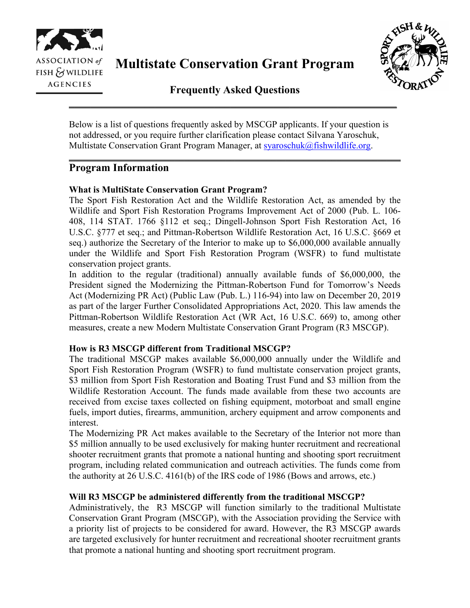

**Multistate Conservation Grant Program**



**Frequently Asked Questions \_\_\_\_\_\_\_\_\_\_\_\_\_\_\_\_\_\_\_\_\_\_\_\_\_\_\_\_\_\_\_\_\_\_\_\_\_\_\_\_\_\_\_\_\_\_\_\_\_\_\_\_\_\_\_\_\_\_\_\_\_**

Below is a list of questions frequently asked by MSCGP applicants. If your question is not addressed, or you require further clarification please contact Silvana Yaroschuk, Multistate Conservation Grant Program Manager, at [syaroschuk@fishwildlife.org.](mailto:syaroschuk@fishwildlife.org)

\_\_\_\_\_\_\_\_\_\_\_\_\_\_\_\_\_\_\_\_\_\_\_\_\_\_\_\_\_\_\_\_\_\_\_\_\_\_\_\_\_\_\_\_\_\_\_\_\_\_\_\_\_\_\_\_\_\_\_\_\_\_\_\_\_\_\_\_\_\_\_\_

# **Program Information**

# **What is MultiState Conservation Grant Program?**

The Sport Fish Restoration Act and the Wildlife Restoration Act, as amended by the Wildlife and Sport Fish Restoration Programs Improvement Act of 2000 (Pub. L. 106- 408, 114 STAT. 1766 §112 et seq.; Dingell-Johnson Sport Fish Restoration Act, 16 U.S.C. §777 et seq.; and Pittman-Robertson Wildlife Restoration Act, 16 U.S.C. §669 et seq.) authorize the Secretary of the Interior to make up to \$6,000,000 available annually under the Wildlife and Sport Fish Restoration Program (WSFR) to fund multistate conservation project grants.

In addition to the regular (traditional) annually available funds of \$6,000,000, the President signed the Modernizing the Pittman-Robertson Fund for Tomorrow's Needs Act (Modernizing PR Act) (Public Law (Pub. L.) 116-94) into law on December 20, 2019 as part of the larger Further Consolidated Appropriations Act, 2020. This law amends the Pittman-Robertson Wildlife Restoration Act (WR Act, 16 U.S.C. 669) to, among other measures, create a new Modern Multistate Conservation Grant Program (R3 MSCGP).

## **How is R3 MSCGP different from Traditional MSCGP?**

The traditional MSCGP makes available \$6,000,000 annually under the Wildlife and Sport Fish Restoration Program (WSFR) to fund multistate conservation project grants, \$3 million from Sport Fish Restoration and Boating Trust Fund and \$3 million from the Wildlife Restoration Account. The funds made available from these two accounts are received from excise taxes collected on fishing equipment, motorboat and small engine fuels, import duties, firearms, ammunition, archery equipment and arrow components and interest.

The Modernizing PR Act makes available to the Secretary of the Interior not more than \$5 million annually to be used exclusively for making hunter recruitment and recreational shooter recruitment grants that promote a national hunting and shooting sport recruitment program, including related communication and outreach activities. The funds come from the authority at 26 U.S.C. 4161(b) of the IRS code of 1986 (Bows and arrows, etc.)

## **Will R3 MSCGP be administered differently from the traditional MSCGP?**

Administratively, the R3 MSCGP will function similarly to the traditional Multistate Conservation Grant Program (MSCGP), with the Association providing the Service with a priority list of projects to be considered for award. However, the R3 MSCGP awards are targeted exclusively for hunter recruitment and recreational shooter recruitment grants that promote a national hunting and shooting sport recruitment program.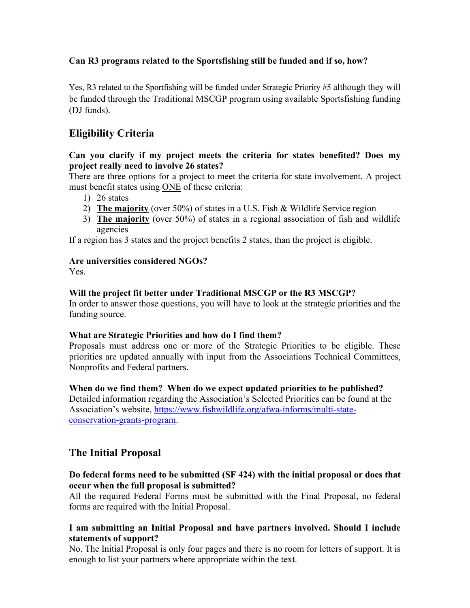# **Can R3 programs related to the Sportsfishing still be funded and if so, how?**

Yes, R3 related to the Sportfishing will be funded under Strategic Priority #5 although they will be funded through the Traditional MSCGP program using available Sportsfishing funding (DJ funds).

# **Eligibility Criteria**

## **Can you clarify if my project meets the criteria for states benefited? Does my project really need to involve 26 states?**

There are three options for a project to meet the criteria for state involvement. A project must benefit states using ONE of these criteria:

- 1) 26 states
- 2) **The majority** (over 50%) of states in a U.S. Fish & Wildlife Service region
- 3) **The majority** (over 50%) of states in a regional association of fish and wildlife agencies

If a region has 3 states and the project benefits 2 states, than the project is eligible.

## **Are universities considered NGOs?**

Yes.

## **Will the project fit better under Traditional MSCGP or the R3 MSCGP?**

In order to answer those questions, you will have to look at the strategic priorities and the funding source.

#### **What are Strategic Priorities and how do I find them?**

Proposals must address one or more of the Strategic Priorities to be eligible. These priorities are updated annually with input from the Associations Technical Committees, Nonprofits and Federal partners.

#### **When do we find them? When do we expect updated priorities to be published?**

Detailed information regarding the Association's Selected Priorities can be found at the Association's website, [https://www.fishwildlife.org/afwa-informs/multi-state](https://www.fishwildlife.org/afwa-informs/multi-state-conservation-grants-program)[conservation-grants-program.](https://www.fishwildlife.org/afwa-informs/multi-state-conservation-grants-program)

# **The Initial Proposal**

## **Do federal forms need to be submitted (SF 424) with the initial proposal or does that occur when the full proposal is submitted?**

All the required Federal Forms must be submitted with the Final Proposal, no federal forms are required with the Initial Proposal.

## **I am submitting an Initial Proposal and have partners involved. Should I include statements of support?**

No. The Initial Proposal is only four pages and there is no room for letters of support. It is enough to list your partners where appropriate within the text.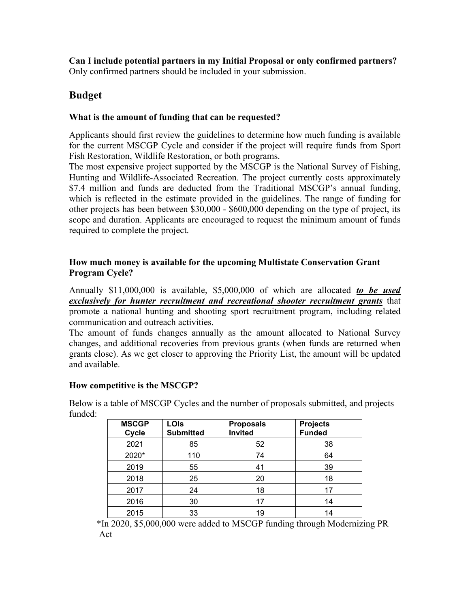**Can I include potential partners in my Initial Proposal or only confirmed partners?** Only confirmed partners should be included in your submission.

# **Budget**

## **What is the amount of funding that can be requested?**

Applicants should first review the guidelines to determine how much funding is available for the current MSCGP Cycle and consider if the project will require funds from Sport Fish Restoration, Wildlife Restoration, or both programs.

The most expensive project supported by the MSCGP is the National Survey of Fishing, Hunting and Wildlife-Associated Recreation. The project currently costs approximately \$7.4 million and funds are deducted from the Traditional MSCGP's annual funding, which is reflected in the estimate provided in the guidelines. The range of funding for other projects has been between \$30,000 - \$600,000 depending on the type of project, its scope and duration. Applicants are encouraged to request the minimum amount of funds required to complete the project.

## **How much money is available for the upcoming Multistate Conservation Grant Program Cycle?**

Annually \$11,000,000 is available, \$5,000,000 of which are allocated *to be used exclusively for hunter recruitment and recreational shooter recruitment grants* that promote a national hunting and shooting sport recruitment program, including related communication and outreach activities.

The amount of funds changes annually as the amount allocated to National Survey changes, and additional recoveries from previous grants (when funds are returned when grants close). As we get closer to approving the Priority List, the amount will be updated and available.

## **How competitive is the MSCGP?**

Below is a table of MSCGP Cycles and the number of proposals submitted, and projects funded:

| <b>MSCGP</b><br>Cycle | <b>LOIs</b><br><b>Submitted</b> | <b>Proposals</b><br><b>Invited</b> | <b>Projects</b><br><b>Funded</b> |
|-----------------------|---------------------------------|------------------------------------|----------------------------------|
| 2021                  | 85                              | 52                                 | 38                               |
| 2020*                 | 110                             | 74                                 | 64                               |
| 2019                  | 55                              | 41                                 | 39                               |
| 2018                  | 25                              | 20                                 | 18                               |
| 2017                  | 24                              | 18                                 | 17                               |
| 2016                  | 30                              | 17                                 | 14                               |
| 2015                  | 33                              | 19                                 | 14                               |

\*In 2020, \$5,000,000 were added to MSCGP funding through Modernizing PR Act